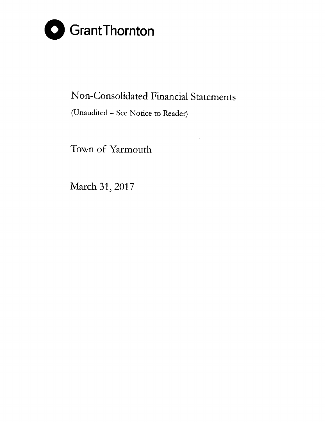

# Non-Consolidated Financial Statements

(Unaudited - See Notice to Reader)

Town of Yarmouth

March 31, 2017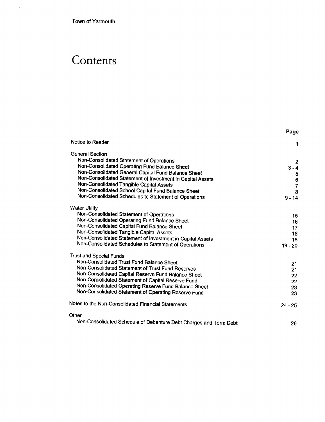Town of Yarmouth

l.

 $\sim$   $\sim$ 

# **Contents**

|                                                                   | Page          |
|-------------------------------------------------------------------|---------------|
| Notice to Reader                                                  | 1             |
| <b>General Section</b>                                            |               |
| Non-Consolidated Statement of Operations                          | 2             |
| Non-Consolidated Operating Fund Balance Sheet                     | $3 - 4$       |
| Non-Consolidated General Capital Fund Balance Sheet               | 5             |
| Non-Consolidated Statement of Investment in Capital Assets        |               |
| Non-Consolidated Tangible Capital Assets                          | $\frac{6}{7}$ |
| Non-Consolidated School Capital Fund Balance Sheet                | 8             |
| Non-Consolidated Schedules to Statement of Operations             | $9 - 14$      |
| <b>Water Utility</b>                                              |               |
| Non-Consolidated Statement of Operations                          | 15            |
| Non-Consolidated Operating Fund Balance Sheet                     | 16            |
| Non-Consolidated Capital Fund Balance Sheet                       | 17            |
| Non-Consolidated Tangible Capital Assets                          | 18            |
| Non-Consolidated Statement of Investment in Capital Assets        | 18            |
| Non-Consolidated Schedules to Statement of Operations             | $19 - 20$     |
| <b>Trust and Special Funds</b>                                    |               |
| Non-Consolidated Trust Fund Balance Sheet                         | 21            |
| Non-Consolidated Statement of Trust Fund Reserves                 | 21            |
| Non-Consolidated Capital Reserve Fund Balance Sheet               | 22            |
| Non-Consolidated Statement of Capital Reserve Fund                | 22            |
| Non-Consolidated Operating Reserve Fund Balance Sheet             | 23            |
| Non-Consolidated Statement of Operating Reserve Fund              | 23            |
| Notes to the Non-Consolidated Financial Statements                | $24 - 25$     |
| Other                                                             |               |
| Non-Consolidated Schedule of Debenture Debt Charges and Term Debt | 26            |

 $\hat{\boldsymbol{\theta}}$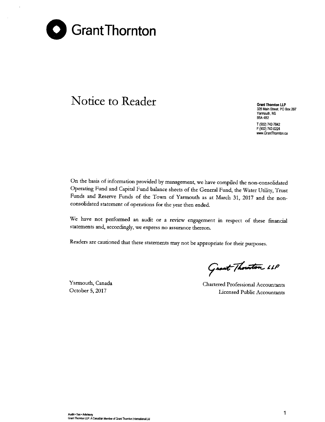

# Notice to Reader Grant Thornton LLP

328 Main Street, PO Box 297 Yarmouth, NS B5A 482 T (902) 742-7842 F (902) 742-0224 www.GrantThomton.ca

On the basis of information provided by management, we have compiled the non-consolidated Operating Fund and Capital Fund balance sheets of the General Fund, the Water Utility, Trust Funds and Reserve Funds of the Town of Yarmouth as at March 31, 2017 and the nonconsolidated statement of operations for the year then ended.

We have not performed an audit or a review engagement in respect of these financial statements and, accordingly, we express no assurance thereon.

Readers are cautioned that these statements may not be appropriate for their purposes.

Yarmouth, Canada October 5, 2017

Great Thouston 11P

Chartered Professional Accountants Licensed Public Accountants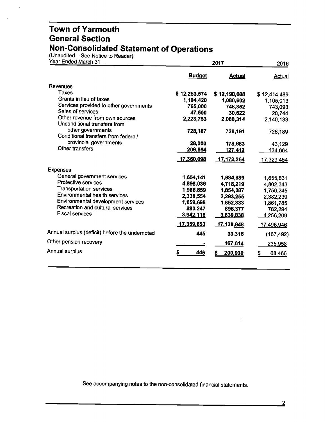(Unaudited – See Notice to Reader)

| Year Ended March 31                                            |                   | 2016          |                    |
|----------------------------------------------------------------|-------------------|---------------|--------------------|
|                                                                | <b>Budget</b>     | <b>Actual</b> | Actual             |
| Revenues                                                       |                   |               |                    |
| Taxes                                                          | \$12,253,574      | \$12,190,088  | \$12,414,489       |
| Grants in lieu of taxes                                        | 1,104,420         | 1,080,602     | 1,105,013          |
| Services provided to other governments                         | 765,000           | 748,352       | 743,093            |
| Sales of services                                              | 47,500            | 30,622        | 20,744             |
| Other revenue from own sources<br>Unconditional transfers from | 2,223,753         | 2,088,314     | 2,140,133          |
| other governments<br>Conditional transfers from federal/       | 728,187           | 728,191       | 728,189            |
| provincial governments                                         | 28,000            | 178,683       | 43,129             |
| Other transfers                                                | 209,664           | 127,412       | 134,664            |
|                                                                | 17,360,098        | 17,172,264    | <u>17,329,</u> 454 |
| <b>Expenses</b>                                                |                   |               |                    |
| General government services                                    | 1,654,141         | 1,684,839     | 1,655,831          |
| <b>Protective services</b>                                     | 4,898,036         | 4,718,219     | 4,802,343          |
| <b>Transportation services</b>                                 | 1,986,859         | 1,854,087     | 1,756,245          |
| Environmental health services                                  | 2,338,554         | 2,293,255     | 2,382,239          |
| Environmental development services                             | 1,659,698         | 1,852,333     | 1,861,785          |
| Recreation and cultural services                               | 880,247           | 896,377       | 782,294            |
| <b>Fiscal services</b>                                         | 3,942,118         | 3,839,838     | 4,256,209          |
|                                                                | <u>17,359,653</u> | 17,138,948    | 17,496,946         |
| Annual surplus (deficit) before the undernoted                 | 445               | 33,316        | (167, 492)         |
| Other pension recovery                                         |                   | 167,614       | 235,958            |
| Annual surplus                                                 | 445               | 200,930       | 68,466<br>S        |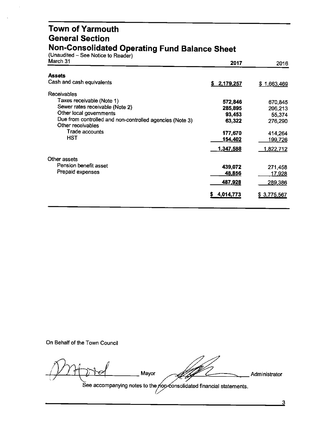#### **Town of Yarmouth General Section Non-Consolidated Operating Fund Balance Sheet**

(Unaudited – See Notice to Reader

| March 31                                                                      | 2017            | 2016           |
|-------------------------------------------------------------------------------|-----------------|----------------|
| <b>Assets</b>                                                                 |                 |                |
| Cash and cash equivalents                                                     | \$2,179,257     | \$1,663,469    |
| Receivables                                                                   |                 |                |
| Taxes receivable (Note 1)                                                     | 572,846         | 670,845        |
| Sewer rates receivable (Note 2)                                               | 285,895         | 206,213        |
| Other local governments                                                       | 93,453          | 55,374         |
| Due from controlled and non-controlled agencies (Note 3)<br>Other receivables | 63,322          | 276,290        |
| Trade accounts                                                                | 177,670         | 414,264        |
| <b>HST</b>                                                                    | 154,402         | <u>199,726</u> |
|                                                                               | 1,347,588       | 1,822,712      |
| Other assets                                                                  |                 |                |
| Pension benefit asset                                                         | 439,072         | 271,458        |
| Prepaid expenses                                                              | <u>48,856</u>   | <u>17,928</u>  |
|                                                                               | 487,928         | 289,386        |
|                                                                               | 4,014,773<br>S. | \$3,775,567    |
|                                                                               |                 |                |

On Behalf of the Town Council

 $\left\{\begin{array}{ccc} \begin{array}{ccc} \end{array} \right. & \begin{array}{ccc} \end{array}$  Mayor

Administrator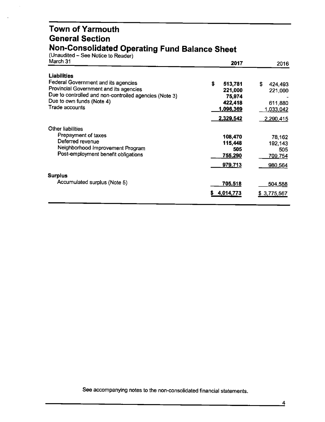#### **Town of Yarmouth General Section Non-Consolidated Operating Fund Balance Sheet**

(Unaudited – See Notice to Reader)

| March 31                                               | 2017           | 2016          |
|--------------------------------------------------------|----------------|---------------|
| <b>Liabilities</b>                                     |                |               |
| Federal Government and its agencies                    | \$<br>513,781  | \$<br>424,493 |
| Provincial Government and its agencies                 | 221,000        | 221,000       |
| Due to controlled and non-controlled agencies (Note 3) | 75,974         |               |
| Due to own funds (Note 4)                              | 422,418        | 611,880       |
| Trade accounts                                         | 1,096,369      | 1,033,042     |
|                                                        | 2,329,542      | 2,290,415     |
| Other liabilities                                      |                |               |
| Prepayment of taxes                                    | 108,470        | 78,162        |
| Deferred revenue                                       | 115,448        | 192,143       |
| Neighborhood Improvement Program                       | 505            | 505           |
| Post-employment benefit obligations                    | <u>755,290</u> | 709,754       |
|                                                        | 979,713        | 980,564       |
| <b>Surplus</b>                                         |                |               |
| Accumulated surplus (Note 5)                           |                |               |
|                                                        | 705,518        | 504,588       |
|                                                        | 4,014,773<br>s | \$3,775,567   |
|                                                        |                |               |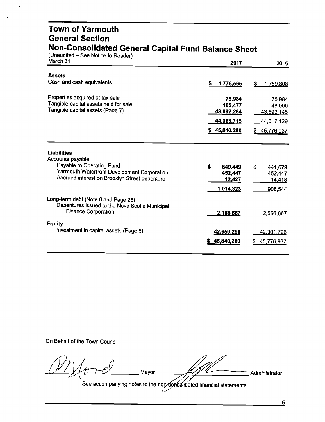#### **Town of Yarmouth General Section Non-Consolidated General Capital Fund Balance Sheet**

(Unaudited – See Notice to Reader)

| March 31                                                                                     | 2017                         | 2016            |
|----------------------------------------------------------------------------------------------|------------------------------|-----------------|
| <b>Assets</b>                                                                                |                              |                 |
| Cash and cash equivalents                                                                    | 1,776,565<br>S.              | \$<br>1,759,808 |
| Properties acquired at tax sale                                                              | 75,984                       | 75,984          |
| Tangible capital assets held for sale<br>Tangible capital assets (Page 7)                    | 105,477<br><u>43,882,254</u> | 48,000          |
|                                                                                              | 44,063,715                   | 43,893,145      |
|                                                                                              |                              | 44,017,129      |
|                                                                                              | \$45,840,280                 | 45,776,937      |
| <b>Liabilities</b><br>Accounts payable                                                       |                              |                 |
| Payable to Operating Fund                                                                    | \$<br>549,449                | S<br>441,679    |
| Yarmouth Waterfront Development Corporation<br>Accrued interest on Brooklyn Street debenture | 452,447                      | 452,447         |
|                                                                                              | <u>12,427</u>                | <u>14,</u> 418  |
|                                                                                              | 1,014,323                    | 908,544         |
| Long-term debt (Note 6 and Page 26)<br>Debentures issued to the Nova Scotia Municipal        |                              |                 |
| <b>Finance Corporation</b>                                                                   | 2,166,667                    | 2,566,667       |
| <b>Equity</b>                                                                                |                              |                 |
| Investment in capital assets (Page 6)                                                        | 42,659,290                   | 42,301,726      |
|                                                                                              | \$45,840,280                 | 45,776,937      |
|                                                                                              |                              |                 |

On Behalf of the Town Council

 $-$ 

Administrator

See accompanying notes to the non-Conselidated financial statements.

Mayor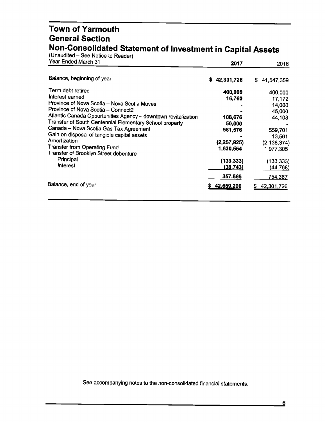#### **Town of Yarmouth General Section Non-Consolidated Statement of Investment in Capital Assets**

(Unaudited – See Notice to Reader)

| Year Ended March 31                                                                                                                                                                                                                                                                                                                                                                                                                                                      | 2017                                                                                                      | 2016                                                                                                                          |
|--------------------------------------------------------------------------------------------------------------------------------------------------------------------------------------------------------------------------------------------------------------------------------------------------------------------------------------------------------------------------------------------------------------------------------------------------------------------------|-----------------------------------------------------------------------------------------------------------|-------------------------------------------------------------------------------------------------------------------------------|
| Balance, beginning of year                                                                                                                                                                                                                                                                                                                                                                                                                                               | 42,301,726<br>s                                                                                           | \$<br>41,547,359                                                                                                              |
| Term debt retired<br>Interest earned<br>Province of Nova Scotia - Nova Scotia Moves<br>Province of Nova Scotia - Connect2<br>Atlantic Canada Opportunities Agency - downtown revitalization<br>Transfer of South Centennial Elementary School property<br>Canada - Nova Scotia Gas Tax Agreement<br>Gain on disposal of tangible capital assets<br>Amortization<br><b>Transfer from Operating Fund</b><br>Transfer of Brooklyn Street debenture<br>Principal<br>Interest | 400,000<br>16,760<br>108,676<br>50,000<br>581,576<br>(2, 257, 925)<br>1,630,554<br>(133, 333)<br>(38,743) | 400,000<br>17,172<br>14,000<br>45,000<br>44,103<br>559,701<br>13,561<br>(2, 138, 374)<br>1,977,305<br>(133, 333)<br>(44, 768) |
| Balance, end of year                                                                                                                                                                                                                                                                                                                                                                                                                                                     | 357,565<br>42,659,290                                                                                     | <u>754,367</u><br>42,301,726                                                                                                  |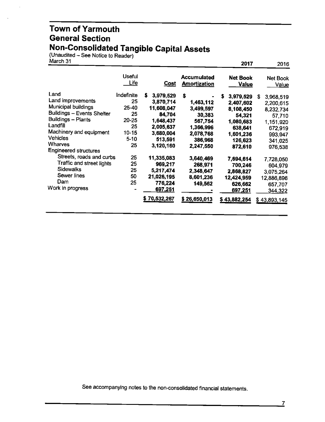#### Town of Yarmouth General Section Non-Consolidated Tangible Capital Assets

(Unaudited – See Notice to Reader)

| March 31                                                                                                                                           |                                                         |                                                                                             |                                                                            | 2017                                                                                    | 2016                                                                       |
|----------------------------------------------------------------------------------------------------------------------------------------------------|---------------------------------------------------------|---------------------------------------------------------------------------------------------|----------------------------------------------------------------------------|-----------------------------------------------------------------------------------------|----------------------------------------------------------------------------|
|                                                                                                                                                    | <b>Useful</b><br><u>Life</u>                            | <u>Cost</u>                                                                                 | <b>Accumulated</b><br><b>Amortization</b>                                  | <b>Net Book</b><br><u>Value</u>                                                         | Net Book<br>Value                                                          |
| Land<br>Land improvements<br>Municipal buildings<br><b>Buildings - Events Shelter</b><br>Buildings - Plants<br>Landfill<br>Machinery and equipment | Indefinite<br>25<br>25-40<br>25<br>20-25<br>25<br>10-15 | \$<br>3,979,529<br>3,870,714<br>11,608,047<br>84,704<br>1,648,437<br>2,005,637<br>3,680,004 | S<br>1,463,112<br>3,499,597<br>30,383<br>567,754<br>1,366,996<br>2,078,768 | S<br>3,979,529<br>2,407,602<br>8,108,450<br>54,321<br>1,080,683<br>638,641<br>1,601,236 | S<br>3,968,519<br>2,200,615<br>8,232,734<br>57,710<br>1,151,920<br>672,919 |
| <b>Vehicles</b><br>Wharves<br><b>Engineered structures</b><br>Streets, roads and curbs                                                             | $5 - 10$<br>25<br>25                                    | 513,591<br>3,120,160<br>11,335,083                                                          | 386,968<br>2,247,550<br>3,640,469                                          | 126,623<br>872,610                                                                      | 993,947<br>341,025<br>976,538                                              |
| Traffic and street lights<br><b>Sidewalks</b><br>Sewer lines<br>Dam                                                                                | 25<br>25<br>50<br>25                                    | 969,217<br>5,217,474<br>21,026,195<br>776,224                                               | 268,971<br>2,348,647<br>8,601,236<br>149,562                               | 7,694,614<br>700,246<br>2,868,827<br>12,424,959<br>626,662                              | 7,728,050<br>604,979<br>3,075,264<br>12,886,896<br>657,707                 |
| Work in progress                                                                                                                                   |                                                         | 697,251<br>\$70,532,267                                                                     | \$26,650,013                                                               | 697,251<br>\$43,882,254                                                                 | 344,322<br>\$43,893,145                                                    |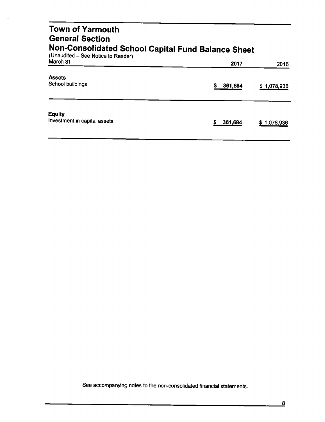#### **Town of Yarmouth General Section Non-Consolidated School Capital Fund Balance Sheet** (Unaudited – See Notice to Reader) March 31 2016 2017 2018 2017 2018 Assets

| ------<br>School buildings                    | 361,684 | \$1,078,936 |
|-----------------------------------------------|---------|-------------|
| <b>Equity</b><br>Investment in capital assets | 361,684 | \$1,078,936 |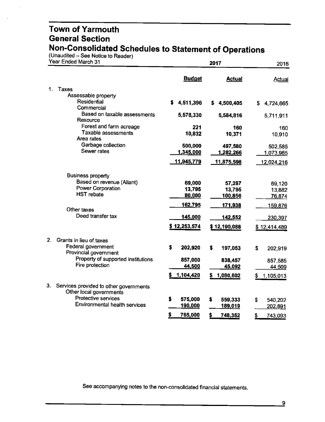(Unaudited – See Notice to Reader)

| Year Ended March 31 |                                                                   |                   | 2016              |                 |
|---------------------|-------------------------------------------------------------------|-------------------|-------------------|-----------------|
|                     |                                                                   | <b>Budget</b>     | <b>Actual</b>     | <b>Actual</b>   |
| 1.                  | Taxes                                                             |                   |                   |                 |
|                     | Assessable property                                               |                   |                   |                 |
|                     | <b>Residential</b>                                                | S.<br>4,511,396   | 4,500,405<br>S.   | S.<br>4,724,665 |
|                     | Commercial                                                        |                   |                   |                 |
|                     | Based on taxable assessments<br>Resource                          | 5,578,330         | 5,584,816         | 5,711,911       |
|                     | Forest and farm acreage                                           | 221               | 160               | 160             |
|                     | Taxable assessments                                               | 10,832            | 10,371            | 10,910          |
|                     | Area rates                                                        |                   |                   |                 |
|                     | Garbage collection<br>Sewer rates                                 | 500,000           | 497,580           | 502,585         |
|                     |                                                                   | 1,345,000         | 1,282,266         | 1,073,985       |
|                     |                                                                   | <u>11,945,779</u> | <u>11,875,598</u> | 12,024,216      |
|                     | <b>Business property</b>                                          |                   |                   |                 |
|                     | Based on revenue (Aliant)                                         | 69,000            | 57,287            | 69,120          |
|                     | <b>Power Corporation</b>                                          | 13,795            | 13,795            | 13,882          |
|                     | <b>HST</b> rebate                                                 | 80,000            | 100,856           | 76,874          |
|                     | Other taxes                                                       | 162,795           | 171,938           | 159,876         |
|                     | Deed transfer tax                                                 | <u>145,000</u>    | <u>142,552</u>    | 230,397         |
|                     |                                                                   | \$12,253,574      | \$12,190,088      | \$12,414,489    |
| 2.                  | Grants in lieu of taxes                                           |                   |                   |                 |
|                     | Federal government<br>Provincial government                       | \$<br>202,920     | \$<br>197,053     | \$<br>202,919   |
|                     | Property of supported institutions                                | 857,000           | 838,457           | 857,585         |
|                     | Fire protection                                                   | <u>44,500</u>     | <u>45,092</u>     | 44,509          |
|                     |                                                                   | 1,104,420         | 1,080,602         | 1,105,013<br>S  |
| 3.                  | Services provided to other governments<br>Other local governments |                   |                   |                 |
|                     | Protective services                                               | \$<br>575,000     | \$<br>559,333     | 540,202<br>S    |
|                     | Environmental health services                                     | 190,000           | 189,019           | 202,891         |
|                     |                                                                   |                   |                   |                 |
|                     |                                                                   | \$<br>765,000     | \$<br>748,352     | \$<br>743,093   |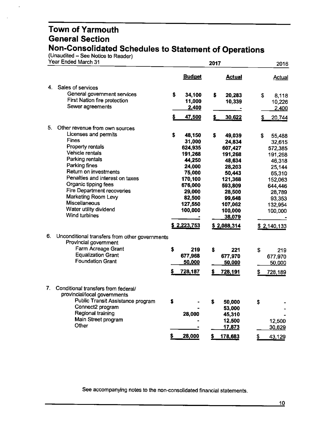$($ Unaudited – See Notice to Reader)

|    | Year Ended March 31                                                     |    |               | 2017 |                   | 2016          |
|----|-------------------------------------------------------------------------|----|---------------|------|-------------------|---------------|
|    |                                                                         |    | <b>Budget</b> |      | <b>Actual</b>     | <b>Actual</b> |
| 4. | Sales of services                                                       |    |               |      |                   |               |
|    | General government services                                             | s. | 34,100        | \$   | 20,283            | \$<br>8,118   |
|    | First Nation fire protection                                            |    | 11,000        |      | 10,339            | 10,226        |
|    | Sewer agreements                                                        |    | 2,400         |      |                   | 2,400         |
|    |                                                                         | \$ | 47,500        |      | 30,622            | 20,744        |
| 5. | Other revenue from own sources                                          |    |               |      |                   |               |
|    | Licenses and permits                                                    | \$ | 48,150        | \$   | 49,039            | \$<br>55,488  |
|    | <b>Fines</b>                                                            |    | 31,000        |      | 24,834            | 32,615        |
|    | <b>Property rentals</b>                                                 |    | 624,935       |      | 607,427           | 572,385       |
|    | Vehicle rentals                                                         |    | 191,268       |      | 191,268           | 191,268       |
|    | Parking rentals                                                         |    | 44,250        |      | 48,634            | 46,318        |
|    | Parking fines                                                           |    | 24,000        |      | 28,203            | 25,144        |
|    | Return on investments                                                   |    | 75,000        |      | 50,443            | 65,310        |
|    | Penalties and interest on taxes                                         |    | 170,100       |      | 121,368           | 152,063       |
|    | Organic tipping fees                                                    |    | 676,000       |      | 593,809           | 644,446       |
|    | <b>Fire Department recoveries</b>                                       |    | 29,000        |      | 28,500            | 28,789        |
|    | Marketing Room Levy                                                     |    | 82,500        |      | 99,648            | 93,353        |
|    | <b>Miscellaneous</b>                                                    |    | 127,550       |      | 107,062           | 132,954       |
|    | Water utility dividend<br><b>Wind turbines</b>                          |    | 100,000       |      | 100,000<br>38,079 | 100,000       |
|    |                                                                         |    | \$2,223,753   |      | \$2,088,314       | \$2,140,133   |
| 6. | Unconditional transfers from other governments<br>Provincial government |    |               |      |                   |               |
|    | Farm Acreage Grant                                                      |    |               |      |                   |               |
|    | <b>Equalization Grant</b>                                               | \$ | 219           | \$   | 221               | \$<br>219     |
|    | <b>Foundation Grant</b>                                                 |    | 677,968       |      | 677,970           | 677,970       |
|    |                                                                         |    | 50,000        |      | 50,000            | 50,000        |
|    |                                                                         |    | 728,187       |      | 728,191           | 728,189       |
| 7. | Conditional transfers from federal/                                     |    |               |      |                   |               |
|    | provincial/local governments                                            |    |               |      |                   |               |
|    | Public Transit Assistance program                                       | \$ |               | \$   | 50,000            | \$            |
|    | Connect2 program<br>Regional training                                   |    |               |      | 53,000            |               |
|    | Main Street program                                                     |    | 28,000        |      | 45,310            |               |
|    | Other                                                                   |    |               |      | 12,500            | 12,500        |
|    |                                                                         |    |               |      | 17,873            | 30,629        |
|    |                                                                         |    | 28,000        | \$   | 178,683           | \$<br>43,129  |
|    |                                                                         |    |               |      |                   |               |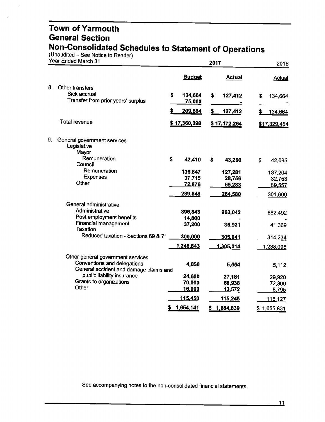(Unaudited – See Notice to Reader)

| Year Ended March 31                                                   |               | 2017            |                 |  |
|-----------------------------------------------------------------------|---------------|-----------------|-----------------|--|
|                                                                       | <b>Budget</b> | <b>Actual</b>   | <b>Actual</b>   |  |
| 8.<br>Other transfers                                                 |               |                 |                 |  |
| Sick accrual<br>Transfer from prior years' surplus                    | \$<br>134,664 | \$<br>127,412   | \$<br>134,664   |  |
|                                                                       | 75,000        |                 |                 |  |
|                                                                       | 209,664       | 127,412         | 134,664<br>S    |  |
| <b>Total revenue</b>                                                  | \$17,360,098  | \$17,172,264    | \$17,329,454    |  |
| 9.<br>General government services<br>Legislative                      |               |                 |                 |  |
| Mayor                                                                 |               |                 |                 |  |
| Remuneration<br>Council                                               | \$<br>42,410  | \$<br>43,260    | \$<br>42,095    |  |
| Remuneration                                                          | 136,847       | 127,281         | 137,204         |  |
| <b>Expenses</b>                                                       | 37,715        | 28,756          | 32,753          |  |
| Other                                                                 | 72,876        | 65,283          | 89,557          |  |
|                                                                       | 289,848       | 264,580         | 301,609         |  |
| General administrative                                                |               |                 |                 |  |
| Administrative                                                        | 896,843       | 963,042         | 882,492         |  |
| Post employment benefits                                              | 14,800        |                 |                 |  |
| <b>Financial management</b><br>Taxation                               | 37,200        | 36,931          | 41,369          |  |
| Reduced taxation - Sections 69 & 71                                   | 300,000       | 305,041         | 314,234         |  |
|                                                                       | 1,248,843     | 1,305,014       | 1,238,095       |  |
| Other general government services                                     |               |                 |                 |  |
| Conventions and delegations<br>General accident and damage claims and | 4,850         | 5,554           | 5,112           |  |
| public liability insurance                                            | 24,600        | 27,181          | 29,920          |  |
| Grants to organizations                                               | 70,000        | 68,938          | 72,300          |  |
| Other                                                                 | 16,000        | 13,572          | 8,795           |  |
|                                                                       | 115,450       | 115,245         | 116,127         |  |
|                                                                       | 1,654,141     | 1,684,839<br>\$ | 1,655,831<br>\$ |  |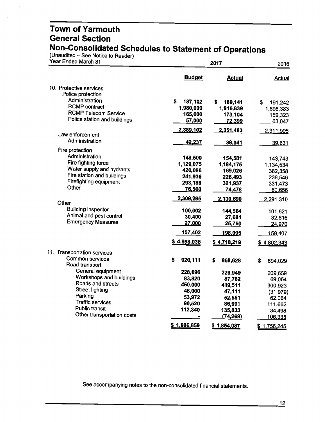(Unaudited – See Notice to Reader)

| Year Ended March 31                                     |                         | 2016              |                   |
|---------------------------------------------------------|-------------------------|-------------------|-------------------|
|                                                         | <b>Budget</b>           | <b>Actual</b>     | Actual            |
| 10. Protective services                                 |                         |                   |                   |
| Police protection                                       |                         |                   |                   |
| Administration                                          | \$<br>187,102           | S.<br>189,141     | \$<br>191,242     |
| <b>RCMP</b> contract                                    | 1,980,000               | 1,916,839         | 1,898,383         |
| <b>RCMP Telecom Service</b>                             | 165,000                 | 173,104           | 159,323           |
| Police station and buildings                            | 57,000                  | 72,399            | 63,047            |
| Law enforcement                                         | 2,389,102               | 2,351,483         | 2,311,995         |
| Administration                                          |                         |                   |                   |
|                                                         | 42,237                  | 38,041            | 39,631            |
| Fire protection                                         |                         |                   |                   |
| Administration                                          | 148,500                 | 154,581           | 143,743           |
| Fire fighting force                                     | 1,129,075               | 1,184,175         | 1,134,534         |
| Water supply and hydrants<br>Fire station and buildings | 420,096                 | 169,026           | 382,358           |
| Firefighting equipment                                  | 241,936                 | 226,493           | 238,546           |
| Other                                                   | 293,188<br>76,500       | 321,937           | 331,473           |
|                                                         |                         | 74,478            | 60,656            |
| Other                                                   | 2,309,295               | 2,130,690         | 2,291,310         |
| <b>Building inspector</b>                               | 100,002                 | 144,564           | 101,621           |
| Animal and pest control                                 | 30,400                  | 27,681            | 32,816            |
| <b>Emergency Measures</b>                               | 27,000                  | 25,760            | 24,970            |
|                                                         | 157,402                 | 198,005           | 159,407           |
|                                                         | <u>\$4.898,036</u>      | \$4,718,219       | \$4,802,343       |
| 11. Transportation services                             |                         |                   |                   |
| Common services                                         | $\mathbf{s}$<br>920,111 | S<br>868,628      | S<br>894,029      |
| Road transport                                          |                         |                   |                   |
| General equipment                                       | 228,096                 | 229,949           | 209,659           |
| Workshops and buildings                                 | 83,820                  | 87,782            | 69,054            |
| Roads and streets<br><b>Street lighting</b>             | 450,000                 | 419,511           | 300,923           |
| Parking                                                 | 48,000                  | 47,111            | (31, 979)         |
| <b>Traffic services</b>                                 | 53,972<br>90,520        | 52,551            | 62,064            |
| Public transit                                          | 112,340                 | 86,991<br>135,833 | 111,662           |
| Other transportation costs                              |                         | (74, 269)         | 34,498<br>106,335 |
|                                                         | \$1,986,859             | \$1,854,087       |                   |
|                                                         |                         |                   | \$1,756,245       |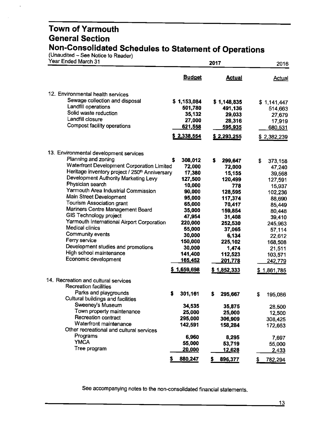(Unaudited – See Notice to Reader)

 $\ddot{\phantom{0}}$ 

| Year Ended March 31                                                |                | 2017          |                |  |
|--------------------------------------------------------------------|----------------|---------------|----------------|--|
|                                                                    | <b>Budget</b>  | <b>Actual</b> | <b>Actual</b>  |  |
| 12. Environmental health services                                  |                |               |                |  |
| Sewage collection and disposal                                     | \$1,153,084    | \$1,148,835   | \$1,141,447    |  |
| Landfill operations                                                | 501,780        | 491,136       | 514,663        |  |
| Solid waste reduction                                              | 35,132         | 29,033        | 27,679         |  |
| Landfill closure                                                   | 27,000         | 28,316        | 17,919         |  |
| Compost facility operations                                        | 621,558        | 595,935       | 680,531        |  |
|                                                                    | \$2,338,554    | \$2,293,255   | \$2,382,239    |  |
| 13. Environmental development services                             |                |               |                |  |
| Planning and zoning                                                | \$<br>308,012  | s<br>299,647  | \$<br>373,158  |  |
| Waterfront Development Corporation Limited                         | 72,000         | 72,000        | 47,240         |  |
| Heritage inventory project / 250 <sup>th</sup> Anniversary         | 17,380         | 15,155        | 39,568         |  |
| Development Authority Marketing Levy                               | 127,500        | 120,499       | 127,591        |  |
| Physician search                                                   | 10,000         | 778           | 15,937         |  |
| Yarmouth Area Industrial Commission                                | 90,000         | 128,595       | 102,236        |  |
| Main Street Development                                            | 95,000         | 117,374       | 88,690         |  |
| Tourism Association grant                                          | 65,000         | 70,417        | 85,449         |  |
| Mariners Centre Management Board                                   | 35,000         | 159,854       | 80,448         |  |
| <b>GIS Technology project</b>                                      | 47,954         | 31,408        | 39,410         |  |
| Yarmouth International Airport Corporation                         | 220,000        | 252,530       | 245,963        |  |
| Medical clinics                                                    | 55,000         | 37,065        | 57,114         |  |
| Community events                                                   | 30,000         | 6,134         | 22,612         |  |
| Ferry service                                                      | 150,000        | 225,102       | 168,508        |  |
| Development studies and promotions                                 | 30,000         | 1,474         | 21,511         |  |
| High school maintenance                                            | 141,400        | 112,523       | 103,571        |  |
| Economic development                                               | <u>165,452</u> | 201,778       | 242,779        |  |
|                                                                    | \$1,659,698    | \$1,852,333   | \$1,861,785    |  |
| 14. Recreation and cultural services                               |                |               |                |  |
| <b>Recreation facilities</b>                                       |                |               |                |  |
| Parks and playgrounds<br>Cultural buildings and facilities         | 301,161<br>s   | S<br>295,667  | \$<br>195,086  |  |
| Sweeney's Museum                                                   | 34,535         | 35,875        | 28,500         |  |
| Town property maintenance                                          | 25,000         | 25,000        | 12,500         |  |
| Recreation contract                                                | 295,000        | 306,909       | 308,425        |  |
| Waterfront maintenance<br>Other recreational and cultural services | 142,591        | 158,284       | 172,653        |  |
| Programs                                                           | 6,960          | 8,295         |                |  |
| <b>YMCA</b>                                                        | 55,000         | 53,719        | 7,697          |  |
| Tree program                                                       | 20,000         | 12,628        | 55,000         |  |
|                                                                    |                |               | 2,433          |  |
|                                                                    | 880,247<br>5   | 896,377<br>\$ | 782,294<br>\$. |  |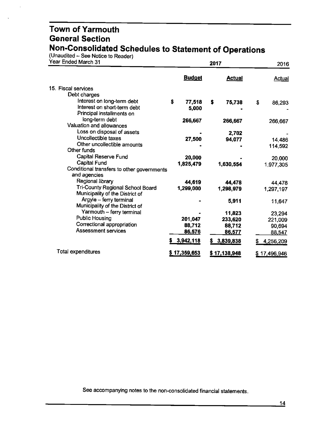(Unaudited – See Notice to Reader)

 $\overline{\phantom{a}}$ 

| Year Ended March 31                        |               | 2016          |                 |
|--------------------------------------------|---------------|---------------|-----------------|
|                                            | <b>Budget</b> | <b>Actual</b> | <b>Actual</b>   |
| 15. Fiscal services                        |               |               |                 |
| Debt charges                               |               |               |                 |
| Interest on long-term debt                 | \$<br>77,518  | \$<br>75,738  | \$<br>86,293    |
| Interest on short-term debt                | 5,000         |               |                 |
| Principal installments on                  |               |               |                 |
| long-term debt                             | 266,667       | 266,667       | 266,667         |
| Valuation and allowances                   |               |               |                 |
| Loss on disposal of assets                 |               | 2,702         |                 |
| Uncollectible taxes                        | 27,500        | 94,077        | 14,486          |
| Other uncollectible amounts                |               |               | 114,592         |
| Other funds                                |               |               |                 |
| Capital Reserve Fund                       | 20,000        |               | 20,000          |
| <b>Capital Fund</b>                        | 1,825,479     | 1,630,554     | 1,977,305       |
| Conditional transfers to other governments |               |               |                 |
| and agencies                               |               |               |                 |
| Regional library                           | 44,619        | 44,478        | 44,478          |
| Tri-County Regional School Board           | 1,299,000     | 1,298,979     | 1,297,197       |
| Municipality of the District of            |               |               |                 |
| Argyle - ferry terminal                    |               | 5,911         | 11,647          |
| Municipality of the District of            |               |               |                 |
| Yarmouth - ferry terminal                  |               | 11,823        | 23,294          |
| <b>Public Housing</b>                      | 201,047       | 233,620       | 221,009         |
| Correctional appropriation                 | 88,712        | 88,712        | 90,694          |
| <b>Assessment services</b>                 | 86,576        | 86,577        | 88,547          |
|                                            | 3,942,118     | \$3,839,838   | 4,256,209<br>S. |
| Total expenditures                         | \$17,359,653  | \$17,138,948  | \$17,496,946    |
|                                            |               |               |                 |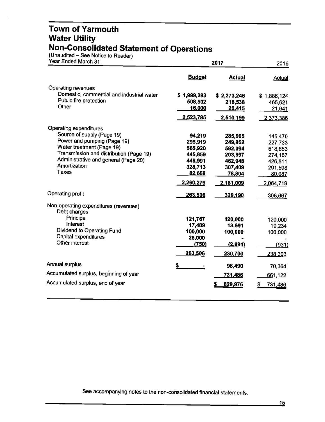#### **Town of Yarmouth Water Utility Non-Consolidated Statement of Operations**

(Unaudited – See Notice to Reader

| Year Ended March 31                                   |               | 2017          |               |  |
|-------------------------------------------------------|---------------|---------------|---------------|--|
|                                                       | <b>Budget</b> | <b>Actual</b> | <b>Actual</b> |  |
| Operating revenues                                    |               |               |               |  |
| Domestic, commercial and industrial water             | \$1,999,283   | \$2,273,246   | \$1,886,124   |  |
| Public fire protection                                | 508,502       | 216,538       | 465,621       |  |
| Other                                                 | <u>16,000</u> | 20,415        | <u>21,641</u> |  |
|                                                       | 2,523,785     | 2,510,199     | 2,373,386     |  |
| Operating expenditures                                |               |               |               |  |
| Source of supply (Page 19)                            | 94,219        | 285,905       | 145,470       |  |
| Power and pumping (Page 19)                           | 295,919       | 249,952       | 227,733       |  |
| Water treatment (Page 19)                             | 565,920       | 592.094       | 618,853       |  |
| Transmission and distribution (Page 19)               | 445,859       | 203,897       | 274,167       |  |
| Administrative and general (Page 20)                  | 446,991       | 462,948       | 426,811       |  |
| Amortization                                          | 328,713       | 307,409       | 291,598       |  |
| <b>Taxes</b>                                          | 82,658        | 78,804        | 80,087        |  |
|                                                       | 2,260,279     | 2,181,009     | 2,064,719     |  |
| Operating profit                                      | 263,506       | 329,190       | 308,667       |  |
| Non-operating expenditures (revenues)<br>Debt charges |               |               |               |  |
| Principal                                             | 121,767       | 120,000       | 120,000       |  |
| Interest                                              | 17,489        | 13,591        | 19,234        |  |
| Dividend to Operating Fund                            | 100,000       | 100,000       | 100,000       |  |
| Capital expenditures                                  | 25,000        |               |               |  |
| Other interest                                        | (750)         | (2,891)       | (931)         |  |
|                                                       | 263,506       | 230,700       | 238,303       |  |
| Annual surplus                                        | \$            | 98,490        | 70,364        |  |
| Accumulated surplus, beginning of year                |               | 731,486       | 661,122       |  |
| Accumulated surplus, end of year                      |               | 829,976       | 731,486       |  |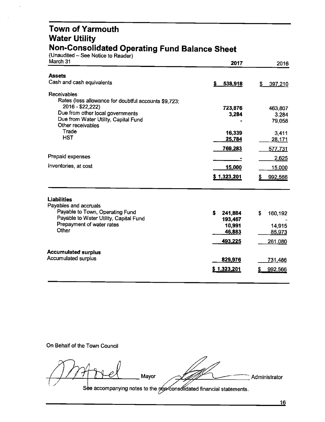#### **Town of Yarmouth Water Utility Non-Consolidated Operating Fund Balance Sheet**

(Unaudited – See Notice to Reader)

| March 31                                                  | 2017             | 2016            |
|-----------------------------------------------------------|------------------|-----------------|
| <b>Assets</b><br>Cash and cash equivalents                | 538,918<br>S.    | 397,210<br>\$   |
| <b>Receivables</b>                                        |                  |                 |
| Rates (less allowance for doubtful accounts \$9,723;      |                  |                 |
| 2016 - \$22,222)                                          | 723,876          | 463,807         |
| Due from other local governments                          | 3,284            | 3.284           |
| Due from Water Utility, Capital Fund<br>Other receivables |                  | 79,058          |
| Trade                                                     |                  |                 |
| <b>HST</b>                                                | 16,339<br>25,784 | 3,411<br>28,171 |
|                                                           |                  |                 |
|                                                           | 769,283          | 577,731         |
| Prepaid expenses                                          |                  | 2,625           |
| Inventories, at cost                                      | 15,000           | 15,000          |
|                                                           | \$1,323,201      | 992,566         |
| <b>Liabilities</b><br>Payables and accruals               |                  |                 |
| Payable to Town, Operating Fund                           | s.<br>241,884    | \$<br>160,192   |
| Payable to Water Utility, Capital Fund                    | 193,467          |                 |
| Prepayment of water rates                                 | 10,991           | 14,915          |
| Other                                                     | 46,883           | 85,973          |
|                                                           | 493,225          | 261,080         |
| <b>Accumulated surplus</b>                                |                  |                 |
| <b>Accumulated surplus</b>                                | 829,976          | 731,486         |
|                                                           | \$1,323,201      | 992,566         |
|                                                           |                  |                 |
|                                                           |                  |                 |

On Behalf of the Town Council

*1* **Mayor** Administrator ~ See accompanying notes to the pon-consolidated financial statements.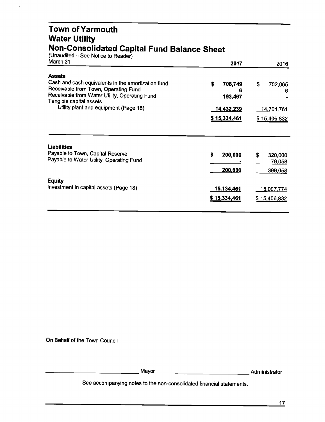#### **Town of Yarmouth Water Utility Non-Consolidated Capital Fund Balance Sheet**

(Unaudited – See Notice to Reader)

| March 31                                                                                                                                                                                | 2017                          | 2016               |
|-----------------------------------------------------------------------------------------------------------------------------------------------------------------------------------------|-------------------------------|--------------------|
| <b>Assets</b><br>Cash and cash equivalents in the amortization fund<br>Receivable from Town, Operating Fund<br>Receivable from Water Utility, Operating Fund<br>Tangible capital assets | \$<br>708,749<br>6<br>193,467 | \$<br>702,065<br>6 |
| Utility plant and equipment (Page 18)                                                                                                                                                   | <u>14,432,239</u>             | <u>14,704,761</u>  |
|                                                                                                                                                                                         | \$15,334,461                  | \$15,406,832       |
| Liabilities                                                                                                                                                                             |                               |                    |
| Payable to Town, Capital Reserve                                                                                                                                                        | S<br>200,000                  | \$<br>320,000      |
| Payable to Water Utility, Operating Fund                                                                                                                                                |                               | 79,058             |
|                                                                                                                                                                                         | 200,000                       | 399,058            |
| <b>Equity</b>                                                                                                                                                                           |                               |                    |
| Investment in capital assets (Page 18)                                                                                                                                                  | <u>15,134,461</u>             | 15,007,774         |
|                                                                                                                                                                                         | \$15,334,461                  | \$15,406,832       |
|                                                                                                                                                                                         |                               |                    |

On Behalf of the Town Council

-------------Mayor -----------Administrator

\_\_\_\_\_ Administrator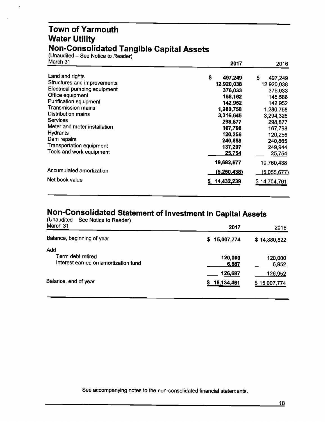#### **Town of Yarmouth Water Utility Non-Consolidated Tangible Capital Assets**

(Unaudited – See Notice to Reader)

| March 31                        | 2017         | 2016         |
|---------------------------------|--------------|--------------|
| Land and rights                 | S<br>497,249 | S<br>497,249 |
| Structures and improvements     | 12,920,038   | 12,920,038   |
| Electrical pumping equipment    | 376,033      | 376,033      |
| Office equipment                | 158,162      | 145,588      |
| Purification equipment          | 142,952      | 142,952      |
| Transmission mains              | 1,280,758    | 1,280,758    |
| <b>Distribution mains</b>       | 3,316,645    | 3,294,326    |
| <b>Services</b>                 | 298,877      | 298,877      |
| Meter and meter installation    | 167,798      | 167,798      |
| <b>Hydrants</b>                 | 120,256      | 120,256      |
| Dam repairs                     | 240,858      | 240,865      |
| <b>Transportation equipment</b> | 137,297      | 249,944      |
| Tools and work equipment        | 25,754       | 25,754       |
|                                 | 19,682,677   | 19,760,438   |
| Accumulated amortization        | (5,250,438)  | (5,055,677)  |
| Net book value                  | 14,432,239   | \$14,704,761 |

#### **Non-Consolidated Statement of Investment in Capital Assets**

| (Unaudited – See Notice to Reader)<br>March 31                   | 2017                  | 2016                    |
|------------------------------------------------------------------|-----------------------|-------------------------|
| Balance, beginning of year                                       | \$15,007,774          | \$14,880,822            |
| Add<br>Term debt retired<br>Interest earned on amortization fund | 120,000<br>6,687      | 120,000<br>6,952        |
| Balance, end of year                                             | 126,687<br>15,134,461 | 126,952<br>\$15,007,774 |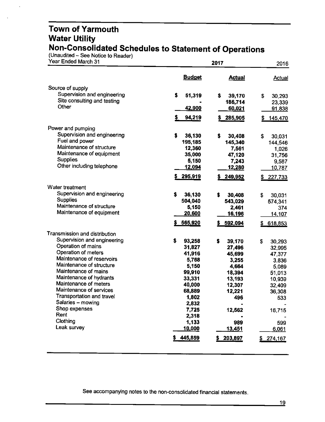#### **Town of Yarmouth Water Utility Non-Consolidated Schedules to Statement of Operations**

(Unaudited - See Notice to Reader)

| Year Ended March 31                              |                | 2016          |               |
|--------------------------------------------------|----------------|---------------|---------------|
|                                                  | <b>Budget</b>  | <b>Actual</b> | <b>Actual</b> |
| Source of supply                                 |                |               |               |
| Supervision and engineering                      | \$<br>51,319   | \$<br>39,170  | \$<br>30,293  |
| Site consulting and testing                      |                | 186,714       | 23,339        |
| Other                                            | <u>42,900</u>  | 60,021        | <u>91,838</u> |
|                                                  | 94,219         | 285,905       | 145,470       |
| Power and pumping                                |                |               |               |
| Supervision and engineering                      | \$<br>36,130   | \$<br>30,408  | \$<br>30,031  |
| Fuel and power                                   | 195,185        | 145,340       | 144,546       |
| Maintenance of structure                         | 12,360         | 7,561         | 1,026         |
| Maintenance of equipment                         | 35,000         | 47,120        | 31,756        |
| <b>Supplies</b>                                  | 5,150          | 7,243         | 9,587         |
| Other including telephone                        | <u>12,094</u>  | <u>12,280</u> | <u>10,787</u> |
|                                                  | 295,919        | 249,952<br>\$ | \$227,733     |
| Water treatment                                  |                |               |               |
| Supervision and engineering                      | \$<br>36,130   | \$<br>30,408  | \$<br>30,031  |
| <b>Supplies</b>                                  | 504,040        | 543,029       | 574,341       |
| Maintenance of structure                         | 5,150          | 2,461         | 374           |
| Maintenance of equipment                         | 20,600         | <u>16,196</u> | 14,107        |
|                                                  | 565,920        | 592,094       | \$618,853     |
| Transmission and distribution                    |                |               |               |
| Supervision and engineering                      | \$<br>93,258   | \$<br>39,170  | \$<br>30,293  |
| Operation of mains                               | 31,827         | 27,496        | 32,995        |
| Operation of meters                              | 41,916         | 45,699        | 47,377        |
| Maintenance of reservoirs                        | 5,768          | 3,255         | 3,836         |
| Maintenance of structure                         | 5,150          | 4,664         | 5,089         |
| Maintenance of mains                             | 99,910         | 18,394        | 51,013        |
| Maintenance of hydrants<br>Maintenance of meters | 33,331         | 13,193        | 10,939        |
| Maintenance of services                          | 40,000         | 12,307        | 32,409        |
| Transportation and travel                        | 68,889         | 12,221        | 36,308        |
| Salaries - mowing                                | 1,802          | 496           | 533           |
| Shop expenses                                    | 2,832<br>7,725 | 12,562        | 16,715        |
| Rent                                             | 2,318          |               |               |
| Clothing                                         | 1,133          | 989           | 599           |
| Leak survey                                      | 10,000         | <u>13,451</u> | 6,061         |
|                                                  | 445,859<br>5   | 203,897<br>S. | \$274,167     |
|                                                  |                |               |               |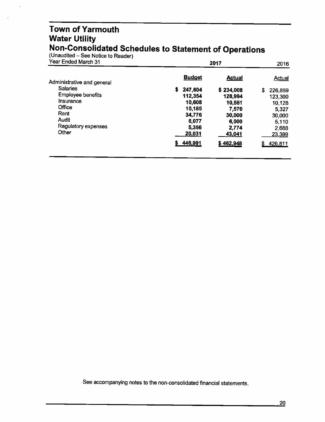#### Town of Yarmouth Water Utility Non-Consolidated Schedules to Statement of Operations

(Unaudited - See Notice to Reader)

| Year Ended March 31        | 2017          | 2016          |               |
|----------------------------|---------------|---------------|---------------|
| Administrative and general | <b>Budget</b> | <b>Actual</b> | Actual        |
| <b>Salaries</b>            | s<br>247,604  | \$234,008     | \$<br>226,859 |
| <b>Employee benefits</b>   | 112,354       | 128,994       | 123,300       |
| Insurance                  | 10,608        | 10,561        | 10.128        |
| Office                     | 10.185        | 7,570         | 5,327         |
| Rent                       | 34.776        | 30,000        | 30,000        |
| Audit                      | 6.077         | 6,000         | 5,110         |
| Regulatory expenses        | 5,356         | 2,774         | 2,688         |
| Other                      | 20,031        | 43,041        | 23,399        |
|                            | 446,991       | \$462,948     | 426,811       |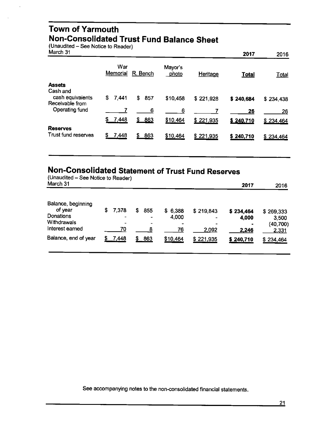#### **Town of Yarmouth Non-Consolidated Trust Fund Balance Sheet**

(Unaudited - See Notice to Reader)

| March 31                                        |                 |           |                  |           | 2017      | 2016         |
|-------------------------------------------------|-----------------|-----------|------------------|-----------|-----------|--------------|
|                                                 | War<br>Memorial | R. Bench  | Mayor's<br>photo | Heritage  | Total     | <b>Total</b> |
| <b>Assets</b>                                   |                 |           |                  |           |           |              |
| Cash and<br>cash equivalents<br>Receivable from | 7,441<br>S.     | 857<br>\$ | \$10,458         | \$221,928 | \$240,684 | \$234,438    |
| Operating fund                                  |                 | 6         | 6                |           | 26        | 26           |
|                                                 | \$<br>7,448     | \$863     | \$10,464         | \$221,935 | \$240,710 | \$234,464    |
| <b>Reserves</b><br>Trust fund reserves          | 7,448<br>S      | 863       | \$10,464         | \$221,935 | \$240,710 | \$234,464    |

# **Non-Consolidated Statement of Trust Fund Reserves**

| (Unaudited – See Notice to Reader)<br>March 31                               |   |             |   |                                   |                        |                                             | 2017                        | 2016                                     |
|------------------------------------------------------------------------------|---|-------------|---|-----------------------------------|------------------------|---------------------------------------------|-----------------------------|------------------------------------------|
| Balance, beginning<br>of year<br>Donations<br>Withdrawals<br>Interest earned | S | 7.378<br>70 | S | 855<br>-<br>$\tilde{\phantom{a}}$ | \$6,388<br>4,000<br>76 | \$219,843<br>$\tilde{\phantom{a}}$<br>2,092 | \$234,464<br>4,000<br>2,246 | \$269,333<br>3,500<br>(40, 700)<br>2,331 |
| Balance, end of year                                                         |   | 7,448       |   | 863                               | \$10,464               | \$221,935                                   | \$240,710                   | \$234,464                                |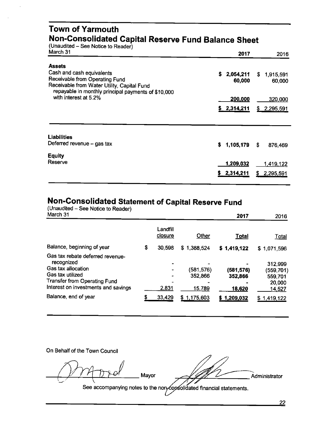#### **Town of Yarmouth Non-Consolidated Capital Reserve Fund Balance Sheet**

(Unaudited - See Notice to Reader)

| March 31                                                                                           | 2017        | 2016            |
|----------------------------------------------------------------------------------------------------|-------------|-----------------|
| <b>Assets</b>                                                                                      |             |                 |
| Cash and cash equivalents                                                                          | \$2,054,211 | \$1,915,591     |
| Receivable from Operating Fund                                                                     | 60,000      | 60,000          |
| Receivable from Water Utility, Capital Fund<br>repayable in monthly principal payments of \$10,000 |             |                 |
| with interest at 5.2%                                                                              | 200,000     | 320,000         |
|                                                                                                    |             |                 |
|                                                                                                    | \$2,314,211 | \$2,295,591     |
|                                                                                                    |             |                 |
| <b>Liabilities</b>                                                                                 |             |                 |
| Deferred revenue - gas tax                                                                         | \$1,105,179 | \$<br>876,469   |
| <b>Equity</b>                                                                                      |             |                 |
| Reserve                                                                                            | 1,209,032   | 1,419,122       |
|                                                                                                    | \$2,314,211 | S.<br>2,295,591 |
|                                                                                                    |             |                 |

# **Non-Consolidated Statement of Capital Reserve Fund**

| (Unaudited – See Notice to Reader)<br>March 31                                                                                                                         |    |                     |                                 | 2017                           | 2016                                                       |
|------------------------------------------------------------------------------------------------------------------------------------------------------------------------|----|---------------------|---------------------------------|--------------------------------|------------------------------------------------------------|
|                                                                                                                                                                        |    | Landfill<br>closure | Other                           | Total                          | <u>Total</u>                                               |
| Balance, beginning of year                                                                                                                                             | \$ | 30,598              | \$1,388,524                     | \$1,419,122                    | \$1,071,596                                                |
| Gas tax rebate deferred revenue-<br>recognized<br>Gas tax allocation<br>Gas tax utilized<br><b>Transfer from Operating Fund</b><br>Interest on investments and savings |    | 2,831               | (581, 576)<br>352,866<br>15,789 | (581,576)<br>352,866<br>18,620 | 312,999<br>(559,701)<br>559,701<br>20,000<br><u>14,527</u> |
| Balance, end of year                                                                                                                                                   | S  | 33,429              | \$1,175,603                     | \$1,209,032                    | 1,419,122                                                  |

On Behalf of the Town Council

~ *<sup>t</sup> . / . •,* ~ Mayor

See accompanying notes to the non-copsolidated financial statements.

Administrator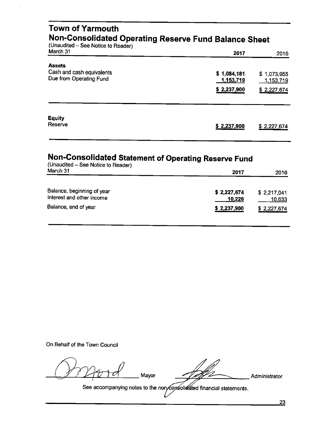| <b>Town of Yarmouth</b><br>(Unaudited - See Notice to Reader)         | Non-Consolidated Operating Reserve Fund Balance Sheet |                                         |
|-----------------------------------------------------------------------|-------------------------------------------------------|-----------------------------------------|
| March 31                                                              | 2017                                                  | 2016                                    |
| <b>Assets</b><br>Cash and cash equivalents<br>Due from Operating Fund | \$1,084,181<br>1,153,719<br>\$2,237,900               | \$1,073,955<br>1,153,719<br>\$2,227,674 |
| Equity<br>Reserve                                                     | \$2,237,900                                           | \$2,227,674                             |

# **Non-Consolidated Statement of Operating Reserve Fund**

| (Unaudited - See Notice to Reader)                      |                       |                       |  |  |
|---------------------------------------------------------|-----------------------|-----------------------|--|--|
| March 31                                                | 2017                  | 2016                  |  |  |
| Balance, beginning of year<br>Interest and other income | \$2,227,674<br>10,226 | \$2,217,041<br>10,633 |  |  |
| Balance, end of year                                    | \$2,237,900           | \$2,227,674           |  |  |
|                                                         |                       |                       |  |  |

On Behalf of the Town Council

Mayor

Administrator

23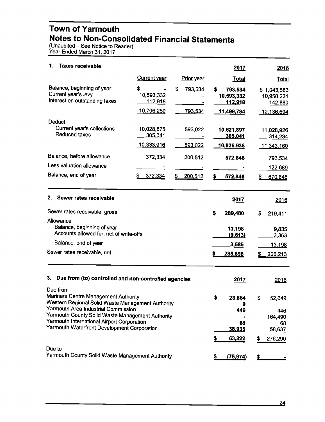### **Town of Yarmouth Notes to Non-Consolidated Financial Statements**

(Unaudited – See Notice to Reader) Year Ended March 31, 2017

| 1.<br><b>Taxes receivable</b>                                                                                                                 |                                            |                          | 2017                                                        | 2016                                               |
|-----------------------------------------------------------------------------------------------------------------------------------------------|--------------------------------------------|--------------------------|-------------------------------------------------------------|----------------------------------------------------|
|                                                                                                                                               | <b>Current</b> year                        | Prior year               | <b>Total</b>                                                | <b>Total</b>                                       |
| Balance, beginning of year<br>Current year's levy<br>Interest on outstanding taxes                                                            | S<br>10,593,332<br>112,918<br>10,706,250   | \$<br>793,534<br>793,534 | \$<br>793,534<br>10,593,332<br><u>112,918</u><br>11,499,784 | \$1,043,583<br>10,950,231<br>142,880<br>12,136,694 |
| Deduct<br>Current year's collections<br><b>Reduced taxes</b>                                                                                  | 10,028,875<br>305,041<br><u>10,333,916</u> | 593,022<br>593,022       | 10,621,897<br>305,041<br><u>10,926,938</u>                  | 11,028,926<br>314,234<br><u> 11,343,160</u>        |
| Balance, before allowance<br>Less valuation allowance                                                                                         | 372,334                                    | 200,512                  | 572,846                                                     | 793,534<br>122,689                                 |
| Balance, end of year                                                                                                                          | 372,334<br>\$                              | \$<br>200,512            | 572,846<br>s                                                | S<br>670,845                                       |
| 2.<br>Sewer rates receivable                                                                                                                  |                                            |                          | 2017                                                        | 2016                                               |
| Sewer rates receivable, gross                                                                                                                 |                                            |                          | \$<br>289,480                                               | \$<br>219,411                                      |
| Allowance<br>Balance, beginning of year<br>Accounts allowed for, net of write-offs<br>Balance, end of year                                    |                                            |                          | 13,198<br>(9,613)<br>3,585                                  | 9,835<br>3,363                                     |
| Sewer rates receivable, net                                                                                                                   |                                            |                          | 285,895<br>s                                                | <u>13,198</u><br>206,213                           |
| 3.<br>Due from (to) controlled and non-controlled agencies                                                                                    |                                            |                          | 2017                                                        | 2016                                               |
| Due from<br>Mariners Centre Management Authority<br>Western Regional Solid Waste Management Authority<br>Yarmouth Area Industrial Commission  |                                            |                          | \$<br>23,864<br>9<br>446                                    | \$<br>52,649<br>446                                |
| Yarmouth County Solid Waste Management Authority<br>Yarmouth International Airport Corporation<br>Yarmouth Waterfront Development Corporation |                                            |                          | 68<br><u>38,935</u>                                         | 164,490<br>68<br><u>58,637</u>                     |
|                                                                                                                                               |                                            |                          | \$<br>63,322                                                | S<br>276,290                                       |
| Due to<br>Yarmouth County Solid Waste Management Authority                                                                                    |                                            |                          | (75, 974)<br>Ş.                                             |                                                    |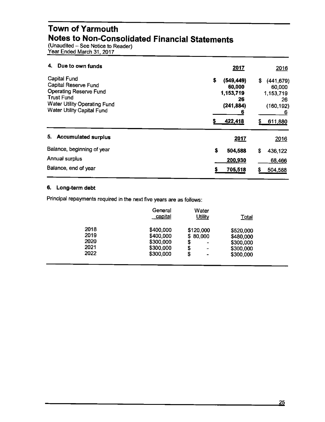#### **Town of Yarmouth Notes to Non-Consolidated Financial Statements**

(Unaudited - See Notice to Reader) Year Ended March 31, 2017

| Due to own funds<br>4.                                                                                                                                                 | 2017                                                                              | 2016                                                                  |
|------------------------------------------------------------------------------------------------------------------------------------------------------------------------|-----------------------------------------------------------------------------------|-----------------------------------------------------------------------|
| <b>Capital Fund</b><br>Capital Reserve Fund<br><b>Operating Reserve Fund</b><br><b>Trust Fund</b><br>Water Utility Operating Fund<br><b>Water Utility Capital Fund</b> | \$<br>(549, 449)<br>\$<br>60,000<br>1,153,719<br>26<br>(241, 884)<br>6<br>422,418 | (441, 679)<br>60,000<br>1,153,719<br>26<br>(160, 192)<br>6<br>611,880 |
| 5.<br><b>Accumulated surplus</b>                                                                                                                                       | <u>2017</u>                                                                       | 2016                                                                  |
| Balance, beginning of year                                                                                                                                             | \$<br>504,588<br>\$                                                               | 436,122                                                               |
| Annual surplus                                                                                                                                                         | 200,930                                                                           | 68,466                                                                |
|                                                                                                                                                                        |                                                                                   |                                                                       |

#### **6. Long-term debt**

Principal repayments required in the next five years are as follows:

|      | General<br>capital | Water<br>Utility               | <b>Total</b> |
|------|--------------------|--------------------------------|--------------|
| 2018 | \$400,000          | \$120,000                      | \$520,000    |
| 2019 | \$400,000          | \$80,000                       | \$480,000    |
| 2020 | \$300,000          | \$<br>$\overline{\phantom{0}}$ | \$300,000    |
| 2021 | \$300,000          | \$<br>$\qquad \qquad$          | \$300,000    |
| 2022 | \$300,000          | \$<br>$\blacksquare$           | \$300,000    |